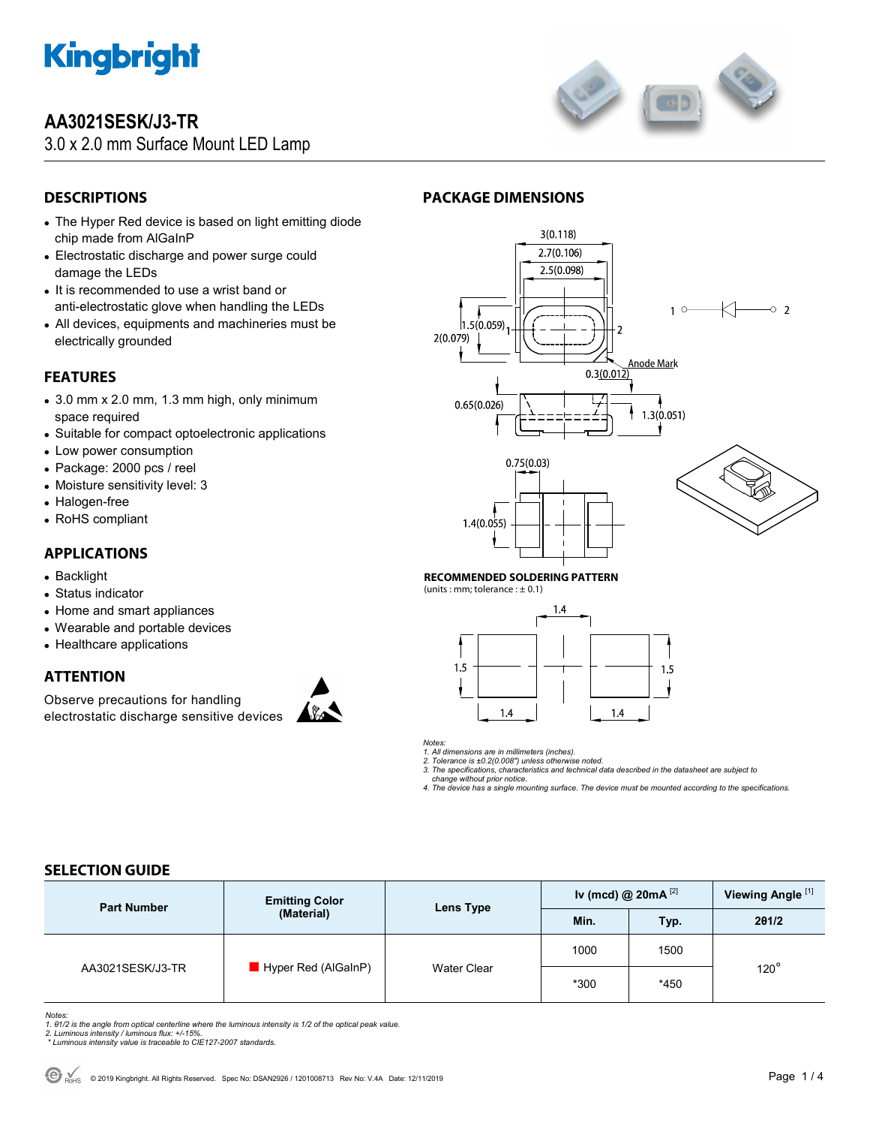

# **AA3021SESK/J3-TR**

3.0 x 2.0 mm Surface Mount LED Lamp



# **DESCRIPTIONS**

- The Hyper Red device is based on light emitting diode chip made from AlGaInP
- Electrostatic discharge and power surge could damage the LEDs
- It is recommended to use a wrist band or anti-electrostatic glove when handling the LEDs
- All devices, equipments and machineries must be electrically grounded

# **FEATURES**

- 3.0 mm x 2.0 mm, 1.3 mm high, only minimum space required
- Suitable for compact optoelectronic applications
- Low power consumption
- Package: 2000 pcs / reel
- Moisture sensitivity level: 3
- Halogen-free
- RoHS compliant

## **APPLICATIONS**

- Backlight
- Status indicator
- Home and smart appliances
- Wearable and portable devices
- Healthcare applications

# **ATTENTION**

Observe precautions for handling electrostatic discharge sensitive devices







#### **RECOMMENDED SOLDERING PATTERN**

(units : mm; tolerance :  $\pm$  0.1)



*Notes:* 

*1. All dimensions are in millimeters (inches).* 

*2. Tolerance is ±0.2(0.008") unless otherwise noted. 3. The specifications, characteristics and technical data described in the datasheet are subject to* 

 *change without prior notice.* 

*4. The device has a single mounting surface. The device must be mounted according to the specifications.* 

## **SELECTION GUIDE**

| <b>Part Number</b> | <b>Emitting Color</b><br>(Material) | Lens Type   | Iv (mcd) @ $20mA$ <sup>[2]</sup> |            | Viewing Angle <sup>[1]</sup> |
|--------------------|-------------------------------------|-------------|----------------------------------|------------|------------------------------|
|                    |                                     |             | Min.                             | <b>Typ</b> | 201/2                        |
| AA3021SESK/J3-TR   | $\blacksquare$ Hyper Red (AlGaInP)  | Water Clear | 1000                             | 1500       | $120^\circ$                  |
|                    |                                     |             | $*300$                           | $*450$     |                              |

Notes:<br>1. 61/2 is the angle from optical centerline where the luminous intensity is 1/2 of the optical peak value.<br>2. Luminous intensity / luminous flux: +/-15%.<br>\* Luminous intensity value is traceable to CIE127-2007 stand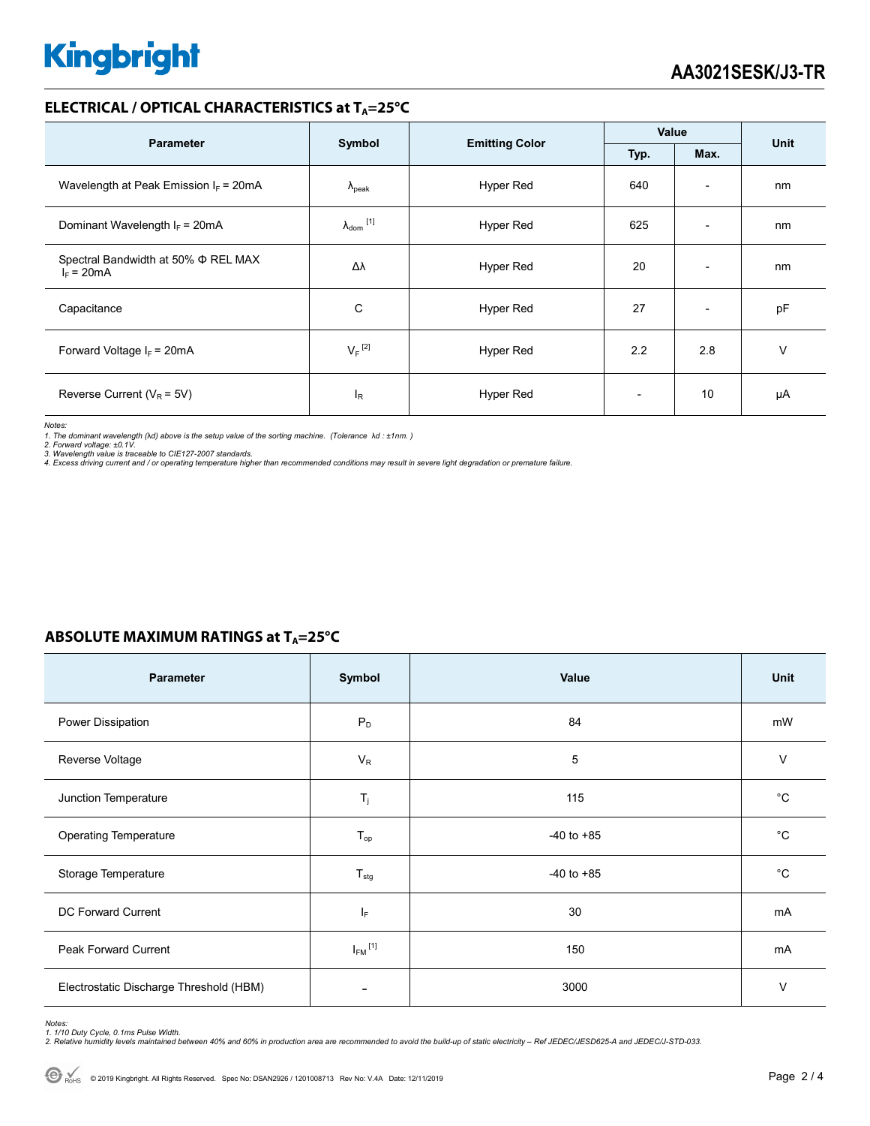# **Kingbright**

### **ELECTRICAL / OPTICAL CHARACTERISTICS at TA=25°C**

| <b>Parameter</b>                                         |                            |                       | Value |                          | <b>Unit</b> |
|----------------------------------------------------------|----------------------------|-----------------------|-------|--------------------------|-------------|
|                                                          | Symbol                     | <b>Emitting Color</b> | Typ.  | Max.                     |             |
| Wavelength at Peak Emission $I_F$ = 20mA                 | $\Lambda_{\rm peak}$       | Hyper Red             | 640   | $\overline{\phantom{a}}$ | nm          |
| Dominant Wavelength $I_F$ = 20mA                         | $\lambda_{\text{dom}}$ [1] | Hyper Red             | 625   | $\overline{a}$           | nm          |
| Spectral Bandwidth at 50% $\Phi$ REL MAX<br>$I_F = 20mA$ | Δλ                         | Hyper Red             | 20    | $\overline{\phantom{a}}$ | nm          |
| Capacitance                                              | C                          | Hyper Red             | 27    | $\overline{\phantom{a}}$ | pF          |
| Forward Voltage $I_F$ = 20mA                             | $V_F$ <sup>[2]</sup>       | Hyper Red             | 2.2   | 2.8                      | v           |
| Reverse Current ( $V_R$ = 5V)                            | $I_{\rm R}$                | <b>Hyper Red</b>      |       | 10                       | μA          |

*Notes:* 

*1. The dominant wavelength (*λ*d) above is the setup value of the sorting machine. (Tolerance* λ*d : ±1nm. )* 

*2. Forward voltage: ±0.1V. 3. Wavelength value is traceable to CIE127-2007 standards.* 

*4. Excess driving current and / or operating temperature higher than recommended conditions may result in severe light degradation or premature failure.* 

## **ABSOLUTE MAXIMUM RATINGS at T<sub>A</sub>=25°C**

| <b>Parameter</b>                        | Symbol                    | Value          | Unit        |
|-----------------------------------------|---------------------------|----------------|-------------|
| Power Dissipation                       | $P_D$                     | 84             | mW          |
| Reverse Voltage                         | $V_R$                     | 5              | $\vee$      |
| Junction Temperature                    | $T_{j}$                   | 115            | $^{\circ}C$ |
| <b>Operating Temperature</b>            | $T_{op}$                  | $-40$ to $+85$ | °С          |
| Storage Temperature                     | $\mathsf{T}_{\text{stg}}$ | $-40$ to $+85$ | $^{\circ}C$ |
| DC Forward Current                      | IF.                       | 30             | mA          |
| <b>Peak Forward Current</b>             | $I_{FM}$ <sup>[1]</sup>   | 150            | mA          |
| Electrostatic Discharge Threshold (HBM) | ٠                         | 3000           | $\vee$      |

Notes:<br>1. 1/10 Duty Cycle, 0.1ms Pulse Width.<br>2. Relative humidity levels maintained between 40% and 60% in production area are recommended to avoid the build-up of static electricity – Ref JEDEC/JESD625-A and JEDEC/J-STD-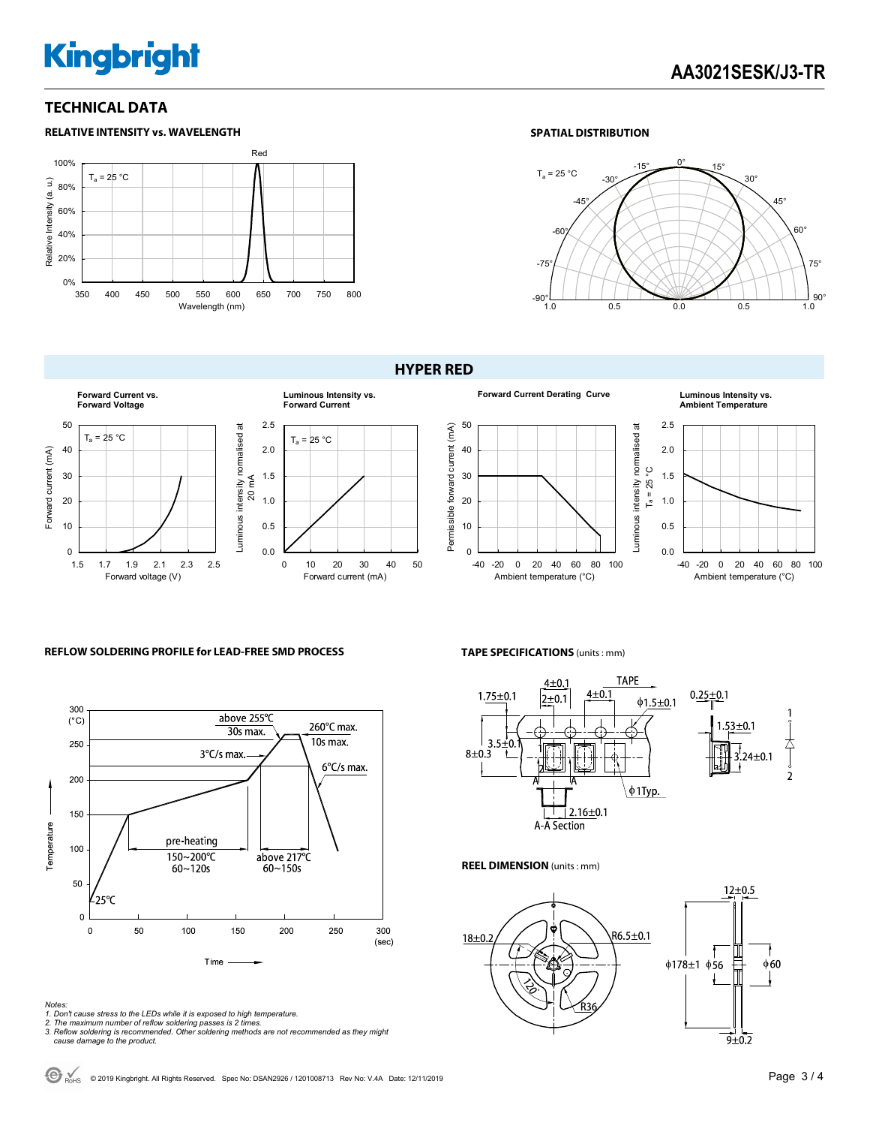# **Kingbright**

### **TECHNICAL DATA**



#### **SPATIAL DISTRIBUTION**



#### **HYPER RED**



#### 50 Permissible forward current (mA)  $\overline{\overline{\sigma}}$ Permissible forward current (mA) Luminous intensity normalised at 40 30 20 10  $\mathbf{0}$ -40 -20 0 20 40 60 80 100 Ambient temperature (°C)

#### **Forward Current Derating Curve Luminous Intensity vs. Ambient Temperature**



#### **REFLOW SOLDERING PROFILE for LEAD-FREE SMD PROCESS**



#### *Notes:*

- *1. Don't cause stress to the LEDs while it is exposed to high temperature.*
- 
- *2. The maximum number of reflow soldering passes is 2 times. 3. Reflow soldering is recommended. Other soldering methods are not recommended as they might cause damage to the product.*

#### **TAPE SPECIFICATIONS** (units : mm)



#### **REEL DIMENSION** (units : mm)